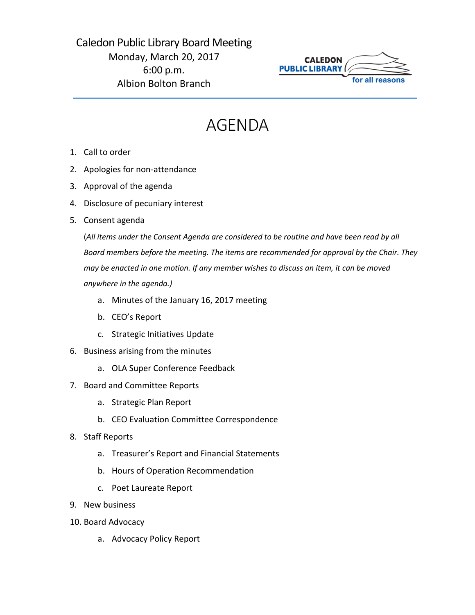Caledon Public Library Board Meeting Monday, March 20, 2017 6:00 p.m. Albion Bolton Branch



## AGENDA

- 1. Call to order
- 2. Apologies for non-attendance
- 3. Approval of the agenda
- 4. Disclosure of pecuniary interest
- 5. Consent agenda

(*All items under the Consent Agenda are considered to be routine and have been read by all Board members before the meeting. The items are recommended for approval by the Chair. They may be enacted in one motion. If any member wishes to discuss an item, it can be moved anywhere in the agenda.)*

- a. Minutes of the January 16, 2017 meeting
- b. CEO's Report
- c. Strategic Initiatives Update
- 6. Business arising from the minutes
	- a. OLA Super Conference Feedback
- 7. Board and Committee Reports
	- a. Strategic Plan Report
	- b. CEO Evaluation Committee Correspondence
- 8. Staff Reports
	- a. Treasurer's Report and Financial Statements
	- b. Hours of Operation Recommendation
	- c. Poet Laureate Report
- 9. New business
- 10. Board Advocacy
	- a. Advocacy Policy Report